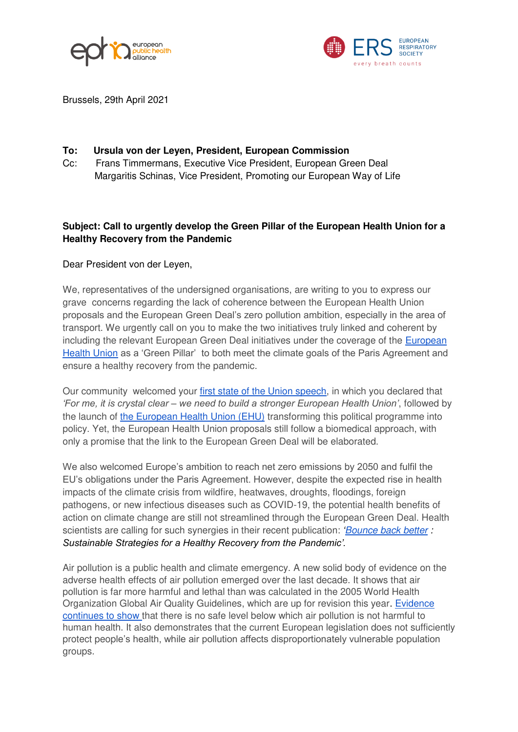



Brussels, 29th April 2021

## **To: Ursula von der Leyen, President, European Commission**

Cc: Frans Timmermans, Executive Vice President, European Green Deal Margaritis Schinas, Vice President, Promoting our European Way of Life

## **Subject: Call to urgently develop the Green Pillar of the European Health Union for a Healthy Recovery from the Pandemic**

## Dear President von der Leyen,

We, representatives of the undersigned organisations, are writing to you to express our grave concerns regarding the lack of coherence between the European Health Union proposals and the European Green Deal's zero pollution ambition, especially in the area of transport. We urgently call on you to make the two initiatives truly linked and coherent by including the relevant European Green Deal initiatives under the coverage of the [European](https://ec.europa.eu/info/strategy/priorities-2019-2024/promoting-our-european-way-life/european-health-union_en)  [Health Union](https://ec.europa.eu/info/strategy/priorities-2019-2024/promoting-our-european-way-life/european-health-union_en) as a 'Green Pillar' to both meet the climate goals of the Paris Agreement and ensure a healthy recovery from the pandemic.

Our community welcomed your [first state of the Union speech,](https://ec.europa.eu/health/funding/eu4health) in which you declared that *'For me, it is crystal clear – we need to build a stronger European Health Union'*, followed by the launch of [the European Health Union \(EHU\)](https://ec.europa.eu/info/strategy/priorities-2019-2024/promoting-our-european-way-life/european-health-union_en) transforming this political programme into policy. Yet, the European Health Union proposals still follow a biomedical approach, with only a promise that the link to the European Green Deal will be elaborated.

We also welcomed Europe's ambition to reach net zero emissions by 2050 and fulfil the EU's obligations under the Paris Agreement. However, despite the expected rise in health impacts of the climate crisis from wildfire, heatwaves, droughts, floodings, foreign pathogens, or new infectious diseases such as COVID-19, the potential health benefits of action on climate change are still not streamlined through the European Green Deal. Health scientists are calling for such synergies in their recent publication: *'[Bounce back better](https://www.iseepi.org/common/Uploaded%20files/2020%20Website%20Edits/Policy/final%20ats%20ers%20isee%20covid%20air%20pollution%20and%20health_08182020.pdf)* : *Sustainable Strategies for a Healthy Recovery from the Pandemic'.* 

Air pollution is a public health and climate emergency. A new solid body of evidence on the adverse health effects of air pollution emerged over the last decade. It shows that air pollution is far more harmful and lethal than was calculated in the 2005 World Health Organization Global Air Quality Guidelines, which are up for revision this year. [Evidence](https://www.ersnet.org/news-and-features/news/mortality-caused-by-air-pollution-in-european-cities-estimated-for-first-time/)  [continues to show t](https://www.ersnet.org/news-and-features/news/mortality-caused-by-air-pollution-in-european-cities-estimated-for-first-time/)hat there is no safe level below which air pollution is not harmful to human health. It also demonstrates that the current European legislation does not sufficiently protect people's health, while air pollution affects disproportionately vulnerable population groups.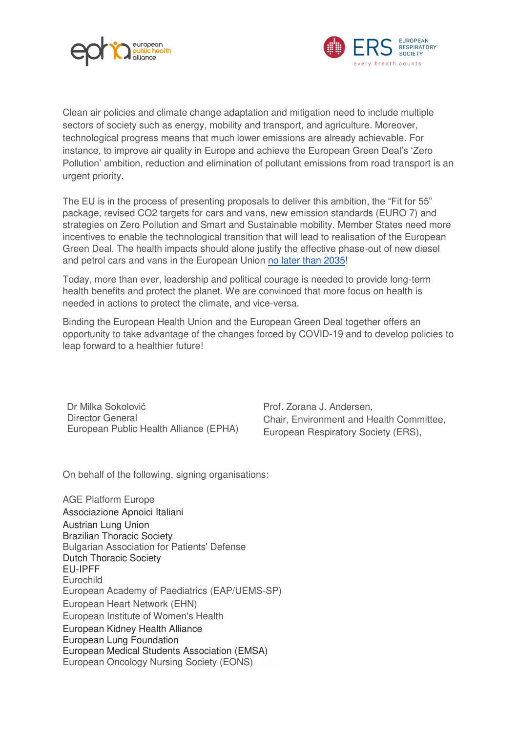



Clean air policies and climate change adaptation and mitigation need to include multiple sectors of society such as energy, mobility and transport, and agriculture. Moreover, technological progress means that much lower emissions are already achievable. For instance, to improve air quality in Europe and achieve the European Green Deal's 'Zero Pollution' ambition, reduction and elimination of pollutant emissions from road transport is an urgent priority.

The EU is in the process of presenting proposals to deliver this ambition, the "Fit for 55" package, revised CO2 targets for cars and vans, new emission standards (EURO 7) and strategies on Zero Pollution and Smart and Sustainable mobility. Member States need more incentives to enable the technological transition that will lead to realisation of the European Green Deal. The health impacts should alone justify the effective phase-out of new diesel and petrol cars and vans in the European Union [no later than 2035!](https://icephaseout.org/)

Today, more than ever, leadership and political courage is needed to provide long-term health benefits and protect the planet. We are convinced that more focus on health is needed in actions to protect the climate, and vice-versa.

Binding the European Health Union and the European Green Deal together offers an opportunity to take advantage of the changes forced by COVID-19 and to develop policies to leap forward to a healthier future!

Dr Milka Sokolović Director General European Public Health Alliance (EPHA)

Prof. Zorana J. Andersen, Chair, Environment and Health Committee, European Respiratory Society (ERS),

On behalf of the following, signing organisations:

AGE Platform Europe Associazione Apnoici Italiani Austrian Lung Union Brazilian Thoracic Society Bulgarian Association for Patients' Defense Dutch Thoracic Society EU-IPFF Eurochild European Academy of Paediatrics (EAP/UEMS-SP) European Heart Network (EHN) European Institute of Women's Health European Kidney Health Alliance European Lung Foundation European Medical Students Association (EMSA) European Oncology Nursing Society (EONS)